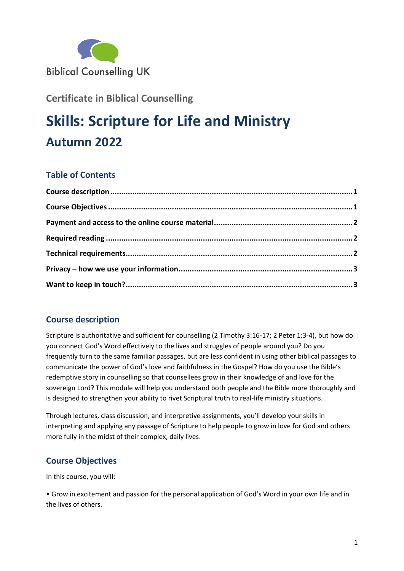

**Certificate in Biblical Counselling**

# **Skills: Scripture for Life and Ministry Autumn 2022**

# **Table of Contents**

# <span id="page-0-0"></span>**Course description**

Scripture is authoritative and sufficient for counselling (2 Timothy 3:16-17; 2 Peter 1:3-4), but how do you connect God's Word effectively to the lives and struggles of people around you? Do you frequently turn to the same familiar passages, but are less confident in using other biblical passages to communicate the power of God's love and faithfulness in the Gospel? How do you use the Bible's redemptive story in counselling so that counsellees grow in their knowledge of and love for the sovereign Lord? This module will help you understand both people and the Bible more thoroughly and is designed to strengthen your ability to rivet Scriptural truth to real-life ministry situations.

Through lectures, class discussion, and interpretive assignments, you'll develop your skills in interpreting and applying any passage of Scripture to help people to grow in love for God and others more fully in the midst of their complex, daily lives.

## <span id="page-0-1"></span>**Course Objectives**

In this course, you will:

• Grow in excitement and passion for the personal application of God's Word in your own life and in the lives of others.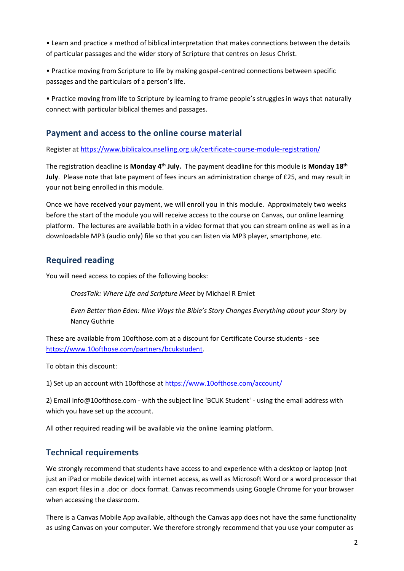• Learn and practice a method of biblical interpretation that makes connections between the details of particular passages and the wider story of Scripture that centres on Jesus Christ.

• Practice moving from Scripture to life by making gospel-centred connections between specific passages and the particulars of a person's life.

• Practice moving from life to Scripture by learning to frame people's struggles in ways that naturally connect with particular biblical themes and passages.

#### <span id="page-1-0"></span>**Payment and access to the online course material**

Register at <https://www.biblicalcounselling.org.uk/certificate-course-module-registration/>

The registration deadline is Monday 4<sup>th</sup> July. The payment deadline for this module is Monday 18<sup>th</sup> **July**. Please note that late payment of fees incurs an administration charge of £25, and may result in your not being enrolled in this module.

Once we have received your payment, we will enroll you in this module. Approximately two weeks before the start of the module you will receive access to the course on Canvas, our online learning platform. The lectures are available both in a video format that you can stream online as well as in a downloadable MP3 (audio only) file so that you can listen via MP3 player, smartphone, etc.

#### <span id="page-1-1"></span>**Required reading**

You will need access to copies of the following books:

*CrossTalk: Where Life and Scripture Meet* by Michael R Emlet

*Even Better than Eden: Nine Ways the Bible's Story Changes Everything about your Story* by Nancy Guthrie

These are available from 10ofthose.com at a discount for Certificate Course students - see [https://www.10ofthose.com/partners/bcukstudent.](https://www.10ofthose.com/partners/bcukstudent)

To obtain this discount:

1) Set up an account with 10ofthose at<https://www.10ofthose.com/account/>

2) Email info@10ofthose.com - with the subject line 'BCUK Student' - using the email address with which you have set up the account.

All other required reading will be available via the online learning platform.

## <span id="page-1-2"></span>**Technical requirements**

We strongly recommend that students have access to and experience with a desktop or laptop (not just an iPad or mobile device) with internet access, as well as Microsoft Word or a word processor that can export files in a .doc or .docx format. Canvas recommends using Google Chrome for your browser when accessing the classroom.

There is a Canvas Mobile App available, although the Canvas app does not have the same functionality as using Canvas on your computer. We therefore strongly recommend that you use your computer as